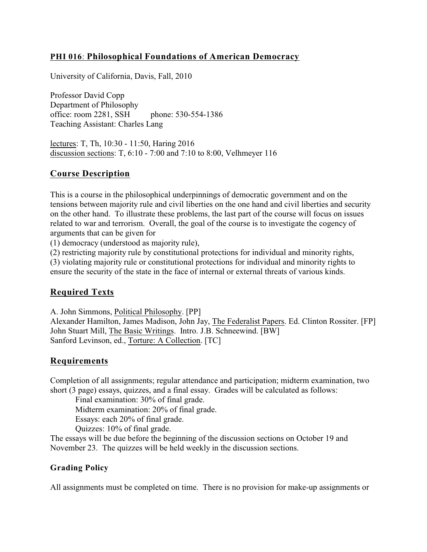## **PHI 016**: **Philosophical Foundations of American Democracy**

University of California, Davis, Fall, 2010

Professor David Copp Department of Philosophy office: room 2281, SSH phone: 530-554-1386 Teaching Assistant: Charles Lang

lectures: T, Th, 10:30 - 11:50, Haring 2016 discussion sections: T, 6:10 - 7:00 and 7:10 to 8:00, Velhmeyer 116

#### **Course Description**

This is a course in the philosophical underpinnings of democratic government and on the tensions between majority rule and civil liberties on the one hand and civil liberties and security on the other hand. To illustrate these problems, the last part of the course will focus on issues related to war and terrorism. Overall, the goal of the course is to investigate the cogency of arguments that can be given for

(1) democracy (understood as majority rule),

(2) restricting majority rule by constitutional protections for individual and minority rights,

(3) violating majority rule or constitutional protections for individual and minority rights to ensure the security of the state in the face of internal or external threats of various kinds.

# **Required Texts**

A. John Simmons, Political Philosophy. [PP]

Alexander Hamilton, James Madison, John Jay, The Federalist Papers. Ed. Clinton Rossiter. [FP] John Stuart Mill, The Basic Writings. Intro. J.B. Schneewind. [BW] Sanford Levinson, ed., Torture: A Collection. [TC]

## **Requirements**

Completion of all assignments; regular attendance and participation; midterm examination, two short (3 page) essays, quizzes, and a final essay. Grades will be calculated as follows:

Final examination: 30% of final grade.

Midterm examination: 20% of final grade.

Essays: each 20% of final grade.

Quizzes: 10% of final grade.

The essays will be due before the beginning of the discussion sections on October 19 and November 23. The quizzes will be held weekly in the discussion sections.

## **Grading Policy**

All assignments must be completed on time. There is no provision for make-up assignments or